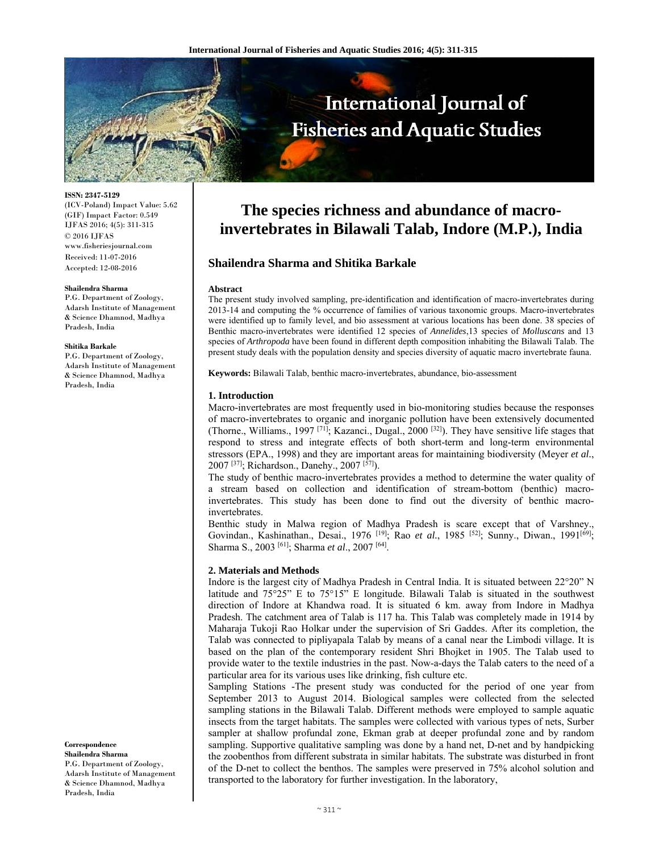

**ISSN: 2347-5129** 

(ICV-Poland) Impact Value: 5.62 (GIF) Impact Factor: 0.549 IJFAS 2016; 4(5): 311-315 © 2016 IJFAS www.fisheriesjournal.com Received: 11-07-2016 Accepted: 12-08-2016

#### **Shailendra Sharma**

P.G. Department of Zoology, Adarsh Institute of Management & Science Dhamnod, Madhya Pradesh, India

#### **Shitika Barkale**

P.G. Department of Zoology, Adarsh Institute of Management & Science Dhamnod, Madhya Pradesh, India

**Correspondence** 

**Shailendra Sharma**  P.G. Department of Zoology, Adarsh Institute of Management & Science Dhamnod, Madhya Pradesh, India

# **The species richness and abundance of macroinvertebrates in Bilawali Talab, Indore (M.P.), India**

# **Shailendra Sharma and Shitika Barkale**

#### **Abstract**

The present study involved sampling, pre-identification and identification of macro-invertebrates during 2013-14 and computing the % occurrence of families of various taxonomic groups. Macro-invertebrates were identified up to family level, and bio assessment at various locations has been done. 38 species of Benthic macro-invertebrates were identified 12 species of *Annelides*,13 species of *Molluscans* and 13 species of *Arthropoda* have been found in different depth composition inhabiting the Bilawali Talab. The present study deals with the population density and species diversity of aquatic macro invertebrate fauna.

**Keywords:** Bilawali Talab, benthic macro-invertebrates, abundance, bio-assessment

### **1. Introduction**

Macro-invertebrates are most frequently used in bio-monitoring studies because the responses of macro-invertebrates to organic and inorganic pollution have been extensively documented (Thorne., Williams., 1997 [71]; Kazanci., Dugal., 2000 [32]). They have sensitive life stages that respond to stress and integrate effects of both short-term and long-term environmental stressors (EPA., 1998) and they are important areas for maintaining biodiversity (Meyer *et al.*, 2007 [37]; Richardson., Danehy., 2007 [57]).

The study of benthic macro-invertebrates provides a method to determine the water quality of a stream based on collection and identification of stream-bottom (benthic) macroinvertebrates. This study has been done to find out the diversity of benthic macroinvertebrates.

Benthic study in Malwa region of Madhya Pradesh is scare except that of Varshney., Govindan., Kashinathan., Desai., 1976 <sup>[19]</sup>; Rao et al., 1985 <sup>[52]</sup>; Sunny., Diwan., 1991<sup>[69]</sup>; Sharma S., 2003 [61]; Sharma *et al*., 2007 [64].

#### **2. Materials and Methods**

Indore is the largest city of Madhya Pradesh in Central India. It is situated between 22°20" N latitude and  $75^{\circ}25$ " E to  $75^{\circ}15$ " E longitude. Bilawali Talab is situated in the southwest direction of Indore at Khandwa road. It is situated 6 km. away from Indore in Madhya Pradesh. The catchment area of Talab is 117 ha. This Talab was completely made in 1914 by Maharaja Tukoji Rao Holkar under the supervision of Sri Gaddes. After its completion, the Talab was connected to pipliyapala Talab by means of a canal near the Limbodi village. It is based on the plan of the contemporary resident Shri Bhojket in 1905. The Talab used to provide water to the textile industries in the past. Now-a-days the Talab caters to the need of a particular area for its various uses like drinking, fish culture etc.

Sampling Stations -The present study was conducted for the period of one year from September 2013 to August 2014. Biological samples were collected from the selected sampling stations in the Bilawali Talab. Different methods were employed to sample aquatic insects from the target habitats. The samples were collected with various types of nets, Surber sampler at shallow profundal zone, Ekman grab at deeper profundal zone and by random sampling. Supportive qualitative sampling was done by a hand net, D-net and by handpicking the zoobenthos from different substrata in similar habitats. The substrate was disturbed in front of the D-net to collect the benthos. The samples were preserved in 75% alcohol solution and transported to the laboratory for further investigation. In the laboratory,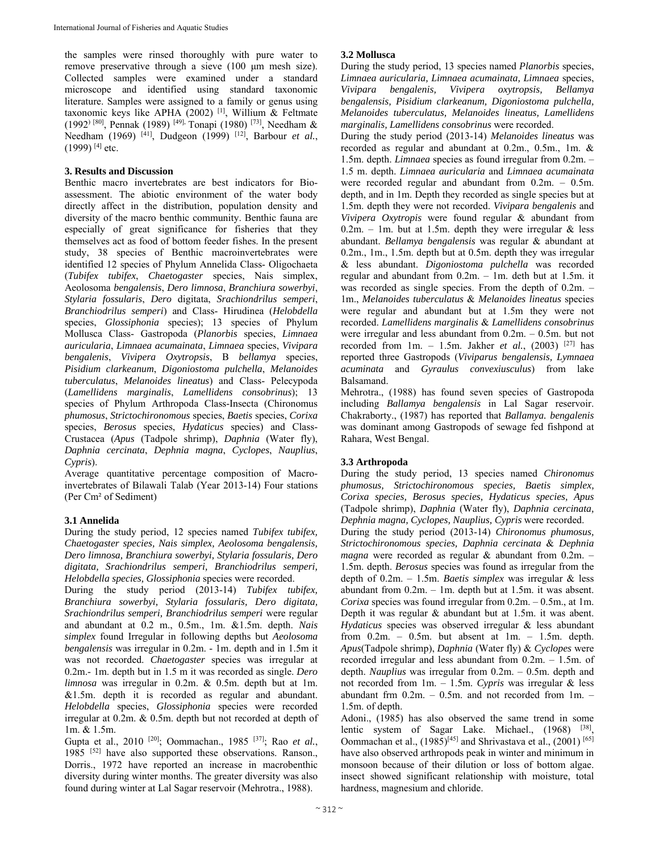the samples were rinsed thoroughly with pure water to remove preservative through a sieve (100 μm mesh size). Collected samples were examined under a standard microscope and identified using standard taxonomic literature. Samples were assigned to a family or genus using taxonomic keys like APHA (2002) <sup>[1]</sup>, Willium & Feltmate (1992) [80], Pennak (1989) [49], Tonapi (1980) [73], Needham & Needham (1969) [41], Dudgeon (1999) [12], Barbour *et al.*,  $(1999)$ <sup>[4]</sup> etc.

### **3. Results and Discussion**

Benthic macro invertebrates are best indicators for Bioassessment. The abiotic environment of the water body directly affect in the distribution, population density and diversity of the macro benthic community. Benthic fauna are especially of great significance for fisheries that they themselves act as food of bottom feeder fishes. In the present study, 38 species of Benthic macroinvertebrates were identified 12 species of Phylum Annelida Class- Oligochaeta (*Tubifex tubifex*, *Chaetogaster* species, Nais simplex, Aeolosoma *bengalensis*, *Dero limnosa*, *Branchiura sowerbyi*, *Stylaria fossularis*, *Dero* digitata, *Srachiondrilus semperi*, *Branchiodrilus semperi*) and Class- Hirudinea (*Helobdella* species, *Glossiphonia* species); 13 species of Phylum Mollusca Class- Gastropoda (*Planorbis* species, *Limnaea auricularia*, *Limnaea acumainata*, *Limnaea* species, *Vivipara bengalenis*, *Vivipera Oxytropsis*, B *bellamya* species, *Pisidium clarkeanum*, *Digoniostoma pulchella*, *Melanoides tuberculatus*, *Melanoides lineatus*) and Class- Pelecypoda (*Lamellidens marginalis*, *Lamellidens consobrinus*); 13 species of Phylum Arthropoda Class-Insecta (Chironomus *phumosus*, *Strictochironomous* species, *Baetis* species, *Corixa*  species, *Berosus* species, *Hydaticus* species) and Class-Crustacea (*Apus* (Tadpole shrimp), *Daphnia* (Water fly), *Daphnia cercinata*, *Dephnia magna*, *Cyclopes*, *Nauplius*, *Cypris*).

Average quantitative percentage composition of Macroinvertebrates of Bilawali Talab (Year 2013-14) Four stations (Per Cm² of Sediment)

## **3.1 Annelida**

During the study period, 12 species named *Tubifex tubifex, Chaetogaster species, Nais simplex, Aeolosoma bengalensis, Dero limnosa, Branchiura sowerbyi, Stylaria fossularis, Dero digitata, Srachiondrilus semperi, Branchiodrilus semperi, Helobdella species, Glossiphonia* species were recorded.

During the study period (2013-14) *Tubifex tubifex, Branchiura sowerbyi, Stylaria fossularis, Dero digitata, Srachiondrilus semperi, Branchiodrilus semperi* were regular and abundant at 0.2 m., 0.5m., 1m. &1.5m. depth. *Nais simplex* found Irregular in following depths but *Aeolosoma bengalensis* was irregular in 0.2m. - 1m. depth and in 1.5m it was not recorded. *Chaetogaster* species was irregular at 0.2m.- 1m. depth but in 1.5 m it was recorded as single. *Dero limnosa* was irregular in 0.2m. & 0.5m. depth but at 1m. &1.5m. depth it is recorded as regular and abundant. *Helobdella* species, *Glossiphonia* species were recorded irregular at 0.2m. & 0.5m. depth but not recorded at depth of 1m. & 1.5m.

Gupta et al., 2010 [20]; Oommachan., 1985 [37]; Rao *et al.*, 1985 [52] have also supported these observations. Ranson., Dorris., 1972 have reported an increase in macrobenthic diversity during winter months. The greater diversity was also found during winter at Lal Sagar reservoir (Mehrotra., 1988).

# **3.2 Mollusca**

During the study period, 13 species named *Planorbis* species, *Limnaea auricularia, Limnaea acumainata, Limnaea* species, *Vivipara bengalenis, Vivipera oxytropsis, Bellamya bengalensis, Pisidium clarkeanum, Digoniostoma pulchella, Melanoides tuberculatus, Melanoides lineatus, Lamellidens marginalis, Lamellidens consobrinus* were recorded.

During the study period (2013-14) *Melanoides lineatus* was recorded as regular and abundant at 0.2m., 0.5m., 1m. & 1.5m. depth. *Limnaea* species as found irregular from 0.2m. – 1.5 m. depth. *Limnaea auricularia* and *Limnaea acumainata* were recorded regular and abundant from 0.2m. – 0.5m. depth, and in 1m. Depth they recorded as single species but at 1.5m. depth they were not recorded. *Vivipara bengalenis* and *Vivipera Oxytropis* were found regular & abundant from 0.2m. – 1m. but at 1.5m. depth they were irregular  $\&$  less abundant. *Bellamya bengalensis* was regular & abundant at 0.2m., 1m., 1.5m. depth but at 0.5m. depth they was irregular & less abundant. *Digoniostoma pulchella* was recorded regular and abundant from 0.2m. – 1m. deth but at 1.5m. it was recorded as single species. From the depth of 0.2m. – 1m., *Melanoides tuberculatus* & *Melanoides lineatus* species were regular and abundant but at 1.5m they were not recorded. *Lamellidens marginalis* & *Lamellidens consobrinus* were irregular and less abundant from 0.2m. – 0.5m. but not recorded from 1m. - 1.5m. Jakher *et al.*, (2003)<sup>[27]</sup> has reported three Gastropods (*Viviparus bengalensis, Lymnaea acuminata* and *Gyraulus convexiusculus*) from lake Balsamand.

Mehrotra., (1988) has found seven species of Gastropoda including *Ballamya bengalensis* in Lal Sagar reservoir. Chakraborty., (1987) has reported that *Ballamya. bengalenis* was dominant among Gastropods of sewage fed fishpond at Rahara, West Bengal.

## **3.3 Arthropoda**

During the study period, 13 species named *Chironomus phumosus, Strictochironomous species, Baetis simplex, Corixa species, Berosus species, Hydaticus species, Apus* (Tadpole shrimp), *Daphnia* (Water fly), *Daphnia cercinata, Dephnia magna, Cyclopes, Nauplius, Cypris* were recorded. During the study period (2013-14) *Chironomus phumosus, Strictochironomous species, Daphnia cercinata* & *Dephnia magna* were recorded as regular & abundant from 0.2m. – 1.5m. depth. *Berosus* species was found as irregular from the depth of 0.2m. – 1.5m. *Baetis simplex* was irregular & less abundant from 0.2m. – 1m. depth but at 1.5m. it was absent. *Corixa* species was found irregular from 0.2m. – 0.5m., at 1m. Depth it was regular & abundant but at 1.5m. it was abent. *Hydaticus* species was observed irregular & less abundant from 0.2m. – 0.5m. but absent at 1m. – 1.5m. depth. *Apus*(Tadpole shrimp), *Daphnia* (Water fly) & *Cyclopes* were recorded irregular and less abundant from 0.2m. – 1.5m. of depth. *Nauplius* was irregular from 0.2m. – 0.5m. depth and not recorded from 1m. – 1.5m. *Cypris* was irregular & less abundant frm  $0.2m$ . –  $0.5m$ . and not recorded from  $1m$ . 1.5m. of depth.

Adoni., (1985) has also observed the same trend in some lentic system of Sagar Lake. Michael., (1968) <sup>[38]</sup>, Oommachan et al.,  $(1985)^{[45]}$  and Shrivastava et al.,  $(2001)^{[65]}$ have also observed arthropods peak in winter and minimum in monsoon because of their dilution or loss of bottom algae. insect showed significant relationship with moisture, total hardness, magnesium and chloride.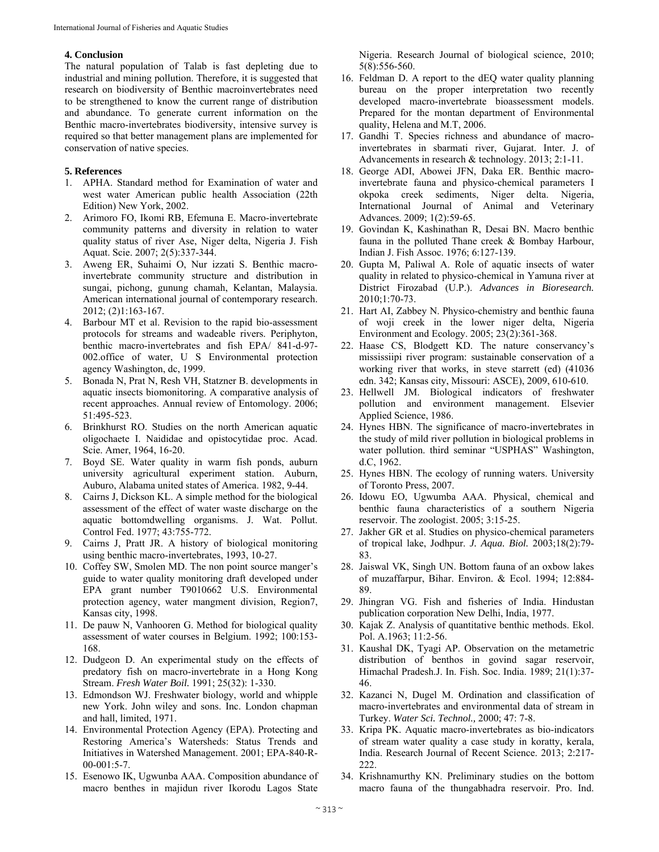### **4. Conclusion**

The natural population of Talab is fast depleting due to industrial and mining pollution. Therefore, it is suggested that research on biodiversity of Benthic macroinvertebrates need to be strengthened to know the current range of distribution and abundance. To generate current information on the Benthic macro-invertebrates biodiversity, intensive survey is required so that better management plans are implemented for conservation of native species.

#### **5. References**

- 1. APHA. Standard method for Examination of water and west water American public health Association (22th Edition) New York, 2002.
- 2. Arimoro FO, Ikomi RB, Efemuna E. Macro-invertebrate community patterns and diversity in relation to water quality status of river Ase, Niger delta, Nigeria J. Fish Aquat. Scie. 2007; 2(5):337-344.
- 3. Aweng ER, Suhaimi O, Nur izzati S. Benthic macroinvertebrate community structure and distribution in sungai, pichong, gunung chamah, Kelantan, Malaysia. American international journal of contemporary research. 2012; (2)1:163-167.
- 4. Barbour MT et al. Revision to the rapid bio-assessment protocols for streams and wadeable rivers. Periphyton, benthic macro-invertebrates and fish EPA/ 841-d-97- 002.office of water, U S Environmental protection agency Washington, dc, 1999.
- 5. Bonada N, Prat N, Resh VH, Statzner B. developments in aquatic insects biomonitoring. A comparative analysis of recent approaches. Annual review of Entomology. 2006; 51:495-523.
- 6. Brinkhurst RO. Studies on the north American aquatic oligochaete I. Naididae and opistocytidae proc. Acad. Scie. Amer, 1964, 16-20.
- 7. Boyd SE. Water quality in warm fish ponds, auburn university agricultural experiment station. Auburn, Auburo, Alabama united states of America. 1982, 9-44.
- 8. Cairns J, Dickson KL. A simple method for the biological assessment of the effect of water waste discharge on the aquatic bottomdwelling organisms. J. Wat. Pollut. Control Fed. 1977; 43:755-772.
- 9. Cairns J, Pratt JR. A history of biological monitoring using benthic macro-invertebrates, 1993, 10-27.
- 10. Coffey SW, Smolen MD. The non point source manger's guide to water quality monitoring draft developed under EPA grant number T9010662 U.S. Environmental protection agency, water mangment division, Region7, Kansas city, 1998.
- 11. De pauw N, Vanhooren G. Method for biological quality assessment of water courses in Belgium. 1992; 100:153- 168.
- 12. Dudgeon D. An experimental study on the effects of predatory fish on macro-invertebrate in a Hong Kong Stream. *Fresh Water Boil.* 1991; 25(32): 1-330.
- 13. Edmondson WJ. Freshwater biology, world and whipple new York. John wiley and sons. Inc. London chapman and hall, limited, 1971.
- 14. Environmental Protection Agency (EPA). Protecting and Restoring America's Watersheds: Status Trends and Initiatives in Watershed Management. 2001; EPA-840-R-00-001:5-7.
- 15. Esenowo IK, Ugwunba AAA. Composition abundance of macro benthes in majidun river Ikorodu Lagos State

Nigeria. Research Journal of biological science, 2010; 5(8):556-560.

- 16. Feldman D. A report to the dEQ water quality planning bureau on the proper interpretation two recently developed macro-invertebrate bioassessment models. Prepared for the montan department of Environmental quality, Helena and M.T, 2006.
- 17. Gandhi T. Species richness and abundance of macroinvertebrates in sbarmati river, Gujarat. Inter. J. of Advancements in research & technology. 2013; 2:1-11.
- 18. George ADI, Abowei JFN, Daka ER. Benthic macroinvertebrate fauna and physico-chemical parameters I okpoka creek sediments, Niger delta. Nigeria, International Journal of Animal and Veterinary Advances. 2009; 1(2):59-65.
- 19. Govindan K, Kashinathan R, Desai BN. Macro benthic fauna in the polluted Thane creek & Bombay Harbour, Indian J. Fish Assoc. 1976; 6:127-139.
- 20. Gupta M, Paliwal A. Role of aquatic insects of water quality in related to physico-chemical in Yamuna river at District Firozabad (U.P.). *Advances in Bioresearch.* 2010;1:70-73.
- 21. Hart AI, Zabbey N. Physico-chemistry and benthic fauna of woji creek in the lower niger delta, Nigeria Environment and Ecology. 2005; 23(2):361-368.
- 22. Haase CS, Blodgett KD. The nature conservancy's mississiipi river program: sustainable conservation of a working river that works, in steve starrett (ed) (41036 edn. 342; Kansas city, Missouri: ASCE), 2009, 610-610.
- 23. Hellwell JM. Biological indicators of freshwater pollution and environment management. Elsevier Applied Science, 1986.
- 24. Hynes HBN. The significance of macro-invertebrates in the study of mild river pollution in biological problems in water pollution. third seminar "USPHAS" Washington, d.C, 1962.
- 25. Hynes HBN. The ecology of running waters. University of Toronto Press, 2007.
- 26. Idowu EO, Ugwumba AAA. Physical, chemical and benthic fauna characteristics of a southern Nigeria reservoir. The zoologist. 2005; 3:15-25.
- 27. Jakher GR et al. Studies on physico-chemical parameters of tropical lake, Jodhpur. *J. Aqua. Biol.* 2003;18(2):79- 83.
- 28. Jaiswal VK, Singh UN. Bottom fauna of an oxbow lakes of muzaffarpur, Bihar. Environ. & Ecol. 1994; 12:884- 89.
- 29. Jhingran VG. Fish and fisheries of India. Hindustan publication corporation New Delhi, India, 1977.
- 30. Kajak Z. Analysis of quantitative benthic methods. Ekol. Pol. A.1963; 11:2-56.
- 31. Kaushal DK, Tyagi AP. Observation on the metametric distribution of benthos in govind sagar reservoir, Himachal Pradesh.J. In. Fish. Soc. India. 1989; 21(1):37- 46.
- 32. Kazanci N, Dugel M. Ordination and classification of macro-invertebrates and environmental data of stream in Turkey. *Water Sci. Technol.,* 2000; 47: 7-8.
- 33. Kripa PK. Aquatic macro-invertebrates as bio-indicators of stream water quality a case study in koratty, kerala, India. Research Journal of Recent Science. 2013; 2:217- 222.
- 34. Krishnamurthy KN. Preliminary studies on the bottom macro fauna of the thungabhadra reservoir. Pro. Ind.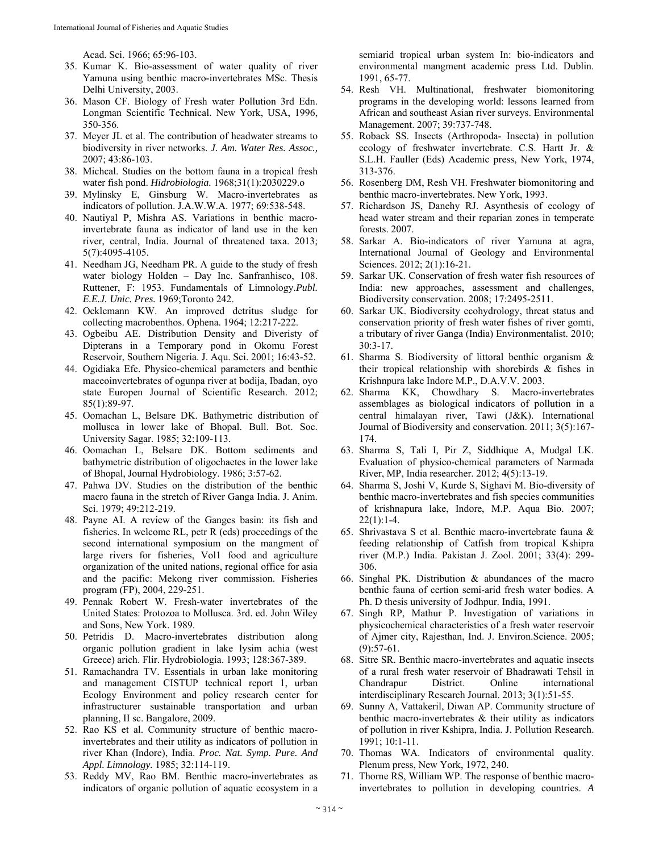Acad. Sci. 1966; 65:96-103.

- 35. Kumar K. Bio-assessment of water quality of river Yamuna using benthic macro-invertebrates MSc. Thesis Delhi University, 2003.
- 36. Mason CF. Biology of Fresh water Pollution 3rd Edn. Longman Scientific Technical. New York, USA, 1996, 350-356.
- 37. Meyer JL et al. The contribution of headwater streams to biodiversity in river networks. *J. Am. Water Res. Assoc.,* 2007; 43:86-103.
- 38. Michcal. Studies on the bottom fauna in a tropical fresh water fish pond. *Hidrobiologia.* 1968;31(1):2030229.o
- 39. Mylinsky E, Ginsburg W. Macro-invertebrates as indicators of pollution. J.A.W.W.A. 1977; 69:538-548.
- 40. Nautiyal P, Mishra AS. Variations in benthic macroinvertebrate fauna as indicator of land use in the ken river, central, India. Journal of threatened taxa. 2013; 5(7):4095-4105.
- 41. Needham JG, Needham PR. A guide to the study of fresh water biology Holden – Day Inc. Sanfranhisco, 108. Ruttener, F: 1953. Fundamentals of Limnology.*Publ. E.E.J. Unic. Pres.* 1969;Toronto 242.
- 42. Ocklemann KW. An improved detritus sludge for collecting macrobenthos. Ophena. 1964; 12:217-222.
- 43. Ogbeibu AE. Distribution Density and Diveristy of Dipterans in a Temporary pond in Okomu Forest Reservoir, Southern Nigeria. J. Aqu. Sci. 2001; 16:43-52.
- 44. Ogidiaka Efe. Physico-chemical parameters and benthic maceoinvertebrates of ogunpa river at bodija, Ibadan, oyo state Europen Journal of Scientific Research. 2012; 85(1):89-97.
- 45. Oomachan L, Belsare DK. Bathymetric distribution of mollusca in lower lake of Bhopal. Bull. Bot. Soc. University Sagar. 1985; 32:109-113.
- 46. Oomachan L, Belsare DK. Bottom sediments and bathymetric distribution of oligochaetes in the lower lake of Bhopal, Journal Hydrobiology. 1986; 3:57-62.
- 47. Pahwa DV. Studies on the distribution of the benthic macro fauna in the stretch of River Ganga India. J. Anim. Sci. 1979; 49:212-219.
- 48. Payne AI. A review of the Ganges basin: its fish and fisheries. In welcome RL, petr R (eds) proceedings of the second international symposium on the mangment of large rivers for fisheries, Vol1 food and agriculture organization of the united nations, regional office for asia and the pacific: Mekong river commission. Fisheries program (FP), 2004, 229-251.
- 49. Pennak Robert W. Fresh-water invertebrates of the United States: Protozoa to Mollusca. 3rd. ed. John Wiley and Sons, New York. 1989.
- 50. Petridis D. Macro-invertebrates distribution along organic pollution gradient in lake lysim achia (west Greece) arich. Flir. Hydrobiologia. 1993; 128:367-389.
- 51. Ramachandra TV. Essentials in urban lake monitoring and management CISTUP technical report 1, urban Ecology Environment and policy research center for infrastructurer sustainable transportation and urban planning, II sc. Bangalore, 2009.
- 52. Rao KS et al. Community structure of benthic macroinvertebrates and their utility as indicators of pollution in river Khan (Indore), India. *Proc. Nat. Symp. Pure. And Appl. Limnology.* 1985; 32:114-119.
- 53. Reddy MV, Rao BM. Benthic macro-invertebrates as indicators of organic pollution of aquatic ecosystem in a

semiarid tropical urban system In: bio-indicators and environmental mangment academic press Ltd. Dublin. 1991, 65-77.

- 54. Resh VH. Multinational, freshwater biomonitoring programs in the developing world: lessons learned from African and southeast Asian river surveys. Environmental Management. 2007; 39:737-748.
- 55. Roback SS. Insects (Arthropoda- Insecta) in pollution ecology of freshwater invertebrate. C.S. Hartt Jr. & S.L.H. Fauller (Eds) Academic press, New York, 1974, 313-376.
- 56. Rosenberg DM, Resh VH. Freshwater biomonitoring and benthic macro-invertebrates. New York, 1993.
- 57. Richardson JS, Danehy RJ. Asynthesis of ecology of head water stream and their reparian zones in temperate forests. 2007.
- 58. Sarkar A. Bio-indicators of river Yamuna at agra, International Journal of Geology and Environmental Sciences. 2012; 2(1):16-21.
- 59. Sarkar UK. Conservation of fresh water fish resources of India: new approaches, assessment and challenges, Biodiversity conservation. 2008; 17:2495-2511.
- 60. Sarkar UK. Biodiversity ecohydrology, threat status and conservation priority of fresh water fishes of river gomti, a tributary of river Ganga (India) Environmentalist. 2010; 30:3-17.
- 61. Sharma S. Biodiversity of littoral benthic organism & their tropical relationship with shorebirds & fishes in Krishnpura lake Indore M.P., D.A.V.V. 2003.
- 62. Sharma KK, Chowdhary S. Macro-invertebrates assemblages as biological indicators of pollution in a central himalayan river, Tawi (J&K). International Journal of Biodiversity and conservation. 2011; 3(5):167- 174.
- 63. Sharma S, Tali I, Pir Z, Siddhique A, Mudgal LK. Evaluation of physico-chemical parameters of Narmada River, MP, India researcher. 2012; 4(5):13-19.
- 64. Sharma S, Joshi V, Kurde S, Sighavi M. Bio-diversity of benthic macro-invertebrates and fish species communities of krishnapura lake, Indore, M.P. Aqua Bio. 2007;  $22(1):1-4.$
- 65. Shrivastava S et al. Benthic macro-invertebrate fauna & feeding relationship of Catfish from tropical Kshipra river (M.P.) India. Pakistan J. Zool. 2001; 33(4): 299- 306.
- 66. Singhal PK. Distribution & abundances of the macro benthic fauna of certion semi-arid fresh water bodies. A Ph. D thesis university of Jodhpur. India, 1991.
- 67. Singh RP, Mathur P. Investigation of variations in physicochemical characteristics of a fresh water reservoir of Ajmer city, Rajesthan, Ind. J. Environ.Science. 2005;  $(9):$ 57-61.
- 68. Sitre SR. Benthic macro-invertebrates and aquatic insects of a rural fresh water reservoir of Bhadrawati Tehsil in Chandrapur District. Online international interdisciplinary Research Journal. 2013; 3(1):51-55.
- 69. Sunny A, Vattakeril, Diwan AP. Community structure of benthic macro-invertebrates & their utility as indicators of pollution in river Kshipra, India. J. Pollution Research. 1991; 10:1-11.
- 70. Thomas WA. Indicators of environmental quality. Plenum press, New York, 1972, 240.
- 71. Thorne RS, William WP. The response of benthic macroinvertebrates to pollution in developing countries. *A*